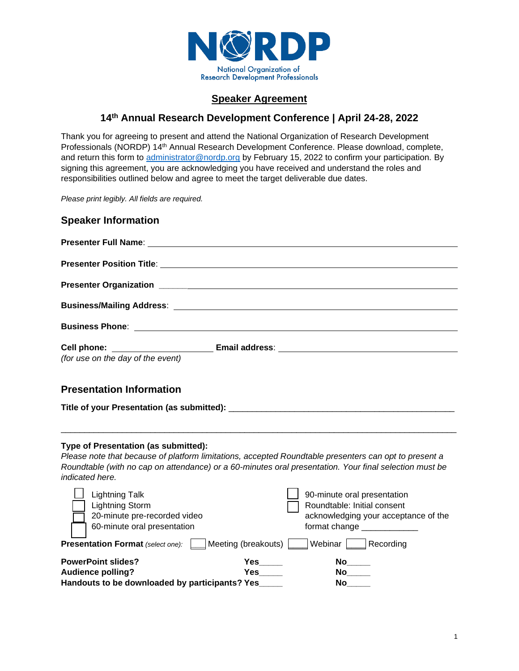

# **Speaker Agreement**

# **14th Annual Research Development Conference | April 24-28, 2022**

Thank you for agreeing to present and attend the National Organization of Research Development Professionals (NORDP) 14th Annual Research Development Conference. Please download, complete, and return this form to administrator@nordp.org by February 15, 2022 to confirm your participation. By signing this agreement, you are acknowledging you have received and understand the roles and responsibilities outlined below and agree to meet the target deliverable due dates.

*Please print legibly. All fields are required.*

| <b>Speaker Information</b>                                                                                                                                                                                                                                                 |
|----------------------------------------------------------------------------------------------------------------------------------------------------------------------------------------------------------------------------------------------------------------------------|
| Presenter Full Name: Name and Separate and Separate and Separate and Separate and Separate and Separate and Separate and Separate and Separate and Separate and Separate and Separate and Separate and Separate and Separate a                                             |
|                                                                                                                                                                                                                                                                            |
|                                                                                                                                                                                                                                                                            |
|                                                                                                                                                                                                                                                                            |
|                                                                                                                                                                                                                                                                            |
|                                                                                                                                                                                                                                                                            |
| (for use on the day of the event)                                                                                                                                                                                                                                          |
| <b>Presentation Information</b>                                                                                                                                                                                                                                            |
| Type of Presentation (as submitted):<br>Please note that because of platform limitations, accepted Roundtable presenters can opt to present a<br>Roundtable (with no cap on attendance) or a 60-minutes oral presentation. Your final selection must be<br>indicated here. |
| <b>Lightning Talk</b><br>90-minute oral presentation<br><b>Lightning Storm</b><br>Roundtable: Initial consent<br>20-minute pre-recorded video<br>acknowledging your acceptance of the<br>60-minute oral presentation<br>format change ______________                       |
| Webinar Recording<br>Meeting (breakouts)<br><b>Presentation Format (select one):</b>                                                                                                                                                                                       |
| <b>PowerPoint slides?</b><br>No<br><b>Audience polling?</b><br>Handouts to be downloaded by participants? Yes                                                                                                                                                              |